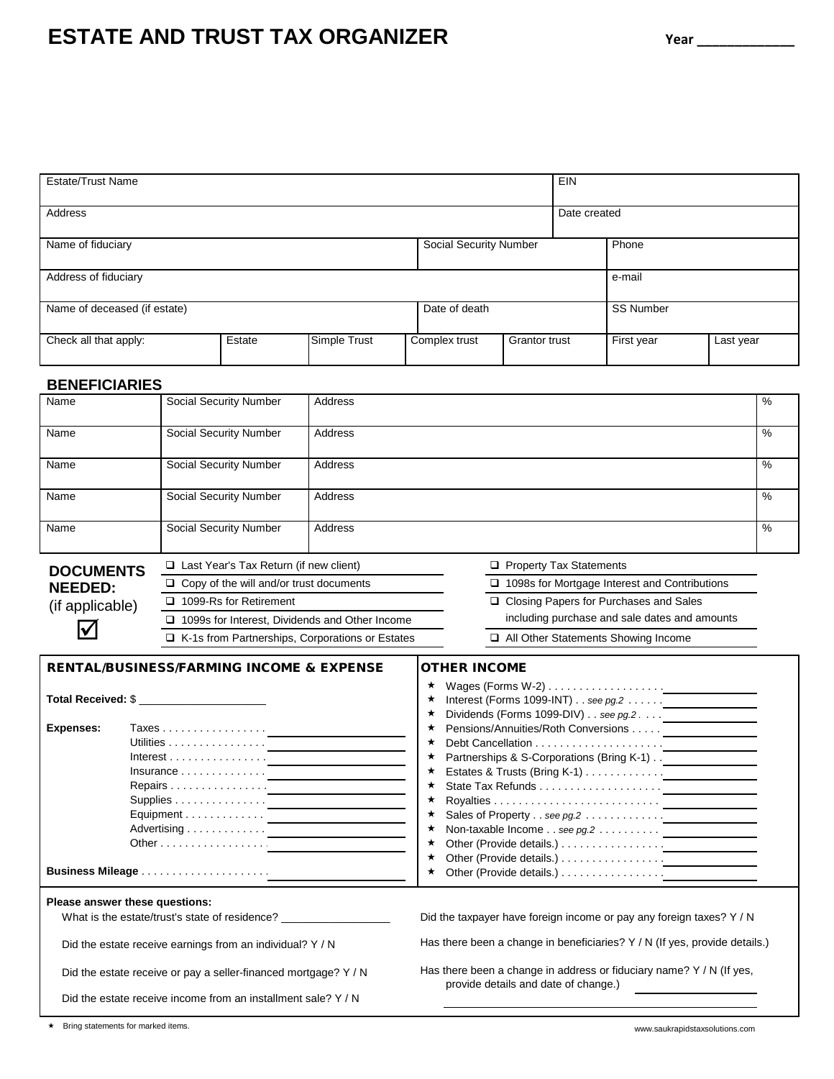# **ESTATE AND TRUST TAX ORGANIZER**  $Year$   $Year$

| <b>Estate/Trust Name</b>     |        |              |               | <b>EIN</b>             |                  |            |           |
|------------------------------|--------|--------------|---------------|------------------------|------------------|------------|-----------|
| Address                      |        |              | Date created  |                        |                  |            |           |
| Name of fiduciary            |        |              |               | Social Security Number |                  | Phone      |           |
| Address of fiduciary         |        |              |               |                        |                  | e-mail     |           |
| Name of deceased (if estate) |        |              | Date of death |                        | <b>SS Number</b> |            |           |
| Check all that apply:        | Estate | Simple Trust | Complex trust | <b>Grantor trust</b>   |                  | First year | Last year |

### **BENEFICIARIES**

| Name             | Social Security Number                                 | <b>Address</b> |                                               | %    |  |  |  |
|------------------|--------------------------------------------------------|----------------|-----------------------------------------------|------|--|--|--|
| Name             | Social Security Number                                 | <b>Address</b> |                                               | $\%$ |  |  |  |
| Name             | Social Security Number                                 | Address        |                                               | %    |  |  |  |
| Name             | <b>Social Security Number</b>                          | <b>Address</b> |                                               | %    |  |  |  |
| Name             | Social Security Number                                 | Address        |                                               | %    |  |  |  |
| <b>DOCUMENTS</b> | $\Box$ Last Year's Tax Return (if new client)          |                | <b>Property Tax Statements</b>                |      |  |  |  |
| <b>NEEDED:</b>   | Copy of the will and/or trust documents                |                | 1098s for Mortgage Interest and Contributions |      |  |  |  |
| (if applicable)  | 1099-Rs for Retirement                                 |                | □ Closing Papers for Purchases and Sales      |      |  |  |  |
|                  | 1099s for Interest, Dividends and Other Income         |                | including purchase and sale dates and amounts |      |  |  |  |
|                  | $\Box$ K-1s from Partnerships, Corporations or Estates |                | All Other Statements Showing Income           |      |  |  |  |
|                  |                                                        |                |                                               |      |  |  |  |

## RENTAL/BUSINESS/FARMING INCOME & EXPENSE OTHER INCOME

| Total Received: \$<br>Taxes <u>.</u><br>Expenses: |                                                                 |                                                                            |  |  |  |
|---------------------------------------------------|-----------------------------------------------------------------|----------------------------------------------------------------------------|--|--|--|
|                                                   | Utilities <u>.</u>                                              |                                                                            |  |  |  |
|                                                   |                                                                 | ★ Partnerships & S-Corporations (Bring K-1) __________________             |  |  |  |
|                                                   | $insurance \ldots \ldots \ldots \ldots$                         |                                                                            |  |  |  |
|                                                   | Repairs <u>.</u>                                                |                                                                            |  |  |  |
|                                                   |                                                                 |                                                                            |  |  |  |
|                                                   |                                                                 |                                                                            |  |  |  |
|                                                   |                                                                 |                                                                            |  |  |  |
|                                                   | Other $\dots \dots \dots \dots \dots$                           |                                                                            |  |  |  |
|                                                   |                                                                 |                                                                            |  |  |  |
|                                                   |                                                                 |                                                                            |  |  |  |
|                                                   | Please answer these questions:                                  |                                                                            |  |  |  |
|                                                   | What is the estate/trust's state of residence?                  | Did the taxpayer have foreign income or pay any foreign taxes? Y / N       |  |  |  |
|                                                   | Did the estate receive earnings from an individual? Y / N       | Has there been a change in beneficiaries? Y / N (If yes, provide details.) |  |  |  |
|                                                   | Did the estate receive or pay a seller-financed mortgage? Y / N | Has there been a change in address or fiduciary name? $Y / N$ (If yes,     |  |  |  |

Did the estate receive income from an installment sale? Y / N

provide details and date of change.)

### \* Bring statements for marked items. www.saukrapidstaxsolutions.com

| HER INCOME |  |  |
|------------|--|--|
|            |  |  |
|            |  |  |